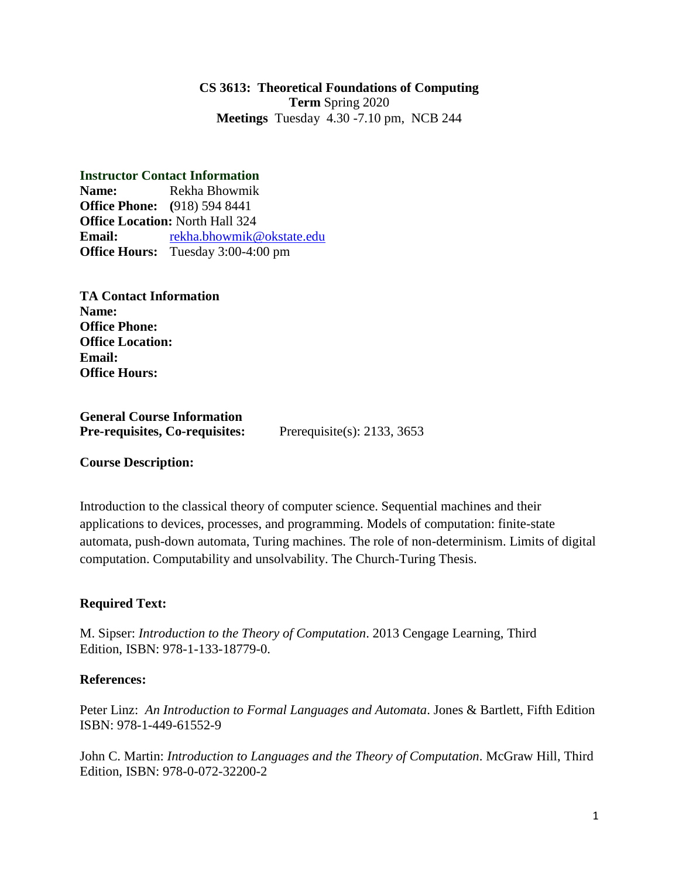### **CS 3613: Theoretical Foundations of Computing Term** Spring 2020 **Meetings** Tuesday 4.30 -7.10 pm, NCB 244

**Instructor Contact Information Name:** Rekha Bhowmik **Office Phone: (**918) 594 8441 **Office Location:** North Hall 324 **Email:** [rekha.bhowmik@okstate.edu](mailto:rekha.bhowmik@okstate.edu) **Office Hours:** Tuesday 3:00-4:00 pm

**TA Contact Information Name: Office Phone: Office Location: Email: Office Hours:**

**General Course Information Pre-requisites, Co-requisites:** Prerequisite(s): 2133, 3653

**Course Description:**

Introduction to the classical theory of computer science. Sequential machines and their applications to devices, processes, and programming. Models of computation: finite-state automata, push-down automata, Turing machines. The role of non-determinism. Limits of digital computation. Computability and unsolvability. The Church-Turing Thesis.

## **Required Text:**

M. Sipser: *Introduction to the Theory of Computation*. 2013 Cengage Learning, Third Edition, ISBN: 978-1-133-18779-0.

#### **References:**

Peter Linz: *An Introduction to Formal Languages and Automata*. Jones & Bartlett, Fifth Edition ISBN: 978-1-449-61552-9

John C. Martin: *Introduction to Languages and the Theory of Computation*. McGraw Hill, Third Edition, ISBN: 978-0-072-32200-2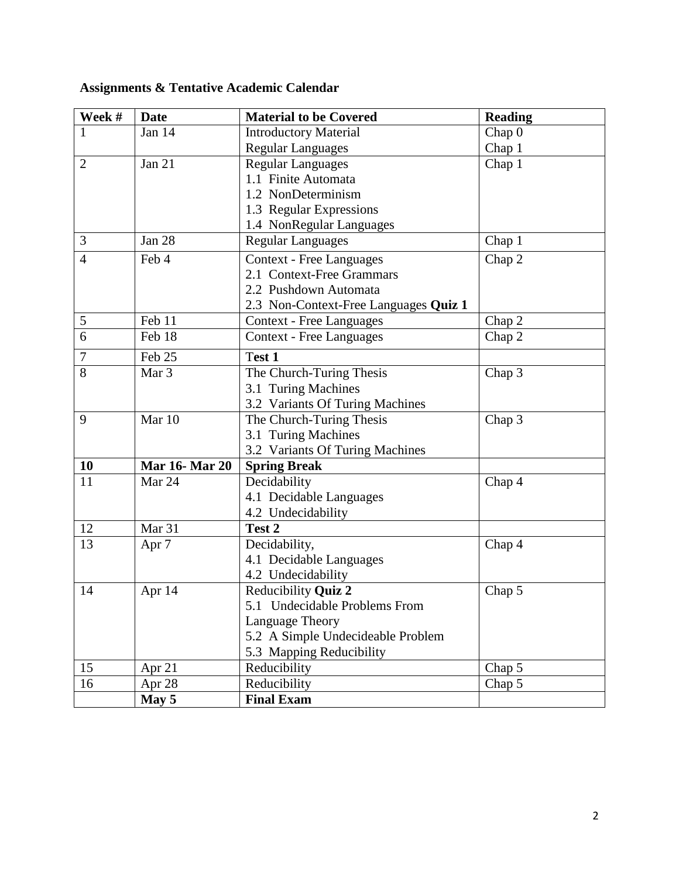| Week #         | Date                  | <b>Material to be Covered</b>                        | <b>Reading</b>    |
|----------------|-----------------------|------------------------------------------------------|-------------------|
|                | Jan 14                | <b>Introductory Material</b>                         | Chap <sub>0</sub> |
|                |                       | <b>Regular Languages</b>                             | Chap 1            |
| $\overline{2}$ | <b>Jan 21</b>         | <b>Regular Languages</b>                             | Chap 1            |
|                |                       | 1.1 Finite Automata                                  |                   |
|                |                       | 1.2 NonDeterminism                                   |                   |
|                |                       | 1.3 Regular Expressions                              |                   |
|                |                       | 1.4 NonRegular Languages                             |                   |
| 3              | Jan 28                | <b>Regular Languages</b>                             | Chap 1            |
| $\overline{4}$ | Feb 4                 | <b>Context - Free Languages</b>                      | Chap 2            |
|                |                       | 2.1 Context-Free Grammars                            |                   |
|                |                       | 2.2 Pushdown Automata                                |                   |
|                |                       | 2.3 Non-Context-Free Languages Quiz 1                |                   |
| $\mathfrak{S}$ | Feb 11                | <b>Context - Free Languages</b>                      | Chap 2            |
| $\overline{6}$ | Feb 18                | <b>Context - Free Languages</b>                      | Chap 2            |
| $\overline{7}$ | Feb 25                | Test 1                                               |                   |
| $\overline{8}$ | Mar <sub>3</sub>      | The Church-Turing Thesis                             | Chap 3            |
|                |                       | 3.1 Turing Machines                                  |                   |
|                |                       | 3.2 Variants Of Turing Machines                      |                   |
| 9              | Mar 10                | The Church-Turing Thesis                             | Chap 3            |
|                |                       | 3.1 Turing Machines                                  |                   |
|                |                       | 3.2 Variants Of Turing Machines                      |                   |
| 10             | <b>Mar 16- Mar 20</b> | <b>Spring Break</b>                                  |                   |
| 11             | Mar 24                | Decidability                                         | Chap 4            |
|                |                       | 4.1 Decidable Languages                              |                   |
|                |                       | 4.2 Undecidability                                   |                   |
| 12             | Mar <sub>31</sub>     | Test 2                                               |                   |
| 13             | Apr <sub>7</sub>      | Decidability,                                        | Chap 4            |
|                |                       | 4.1 Decidable Languages                              |                   |
|                |                       | 4.2 Undecidability                                   |                   |
| 14             | Apr 14                | Reducibility Quiz 2<br>5.1 Undecidable Problems From | Chap 5            |
|                |                       | Language Theory                                      |                   |
|                |                       | 5.2 A Simple Undecideable Problem                    |                   |
|                |                       | 5.3 Mapping Reducibility                             |                   |
| 15             | Apr $21$              | Reducibility                                         | Chap 5            |
| 16             | Apr 28                | Reducibility                                         | Chap 5            |
|                | May 5                 | <b>Final Exam</b>                                    |                   |

# **Assignments & Tentative Academic Calendar**